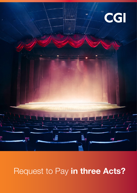

# Request to Pay in three Acts?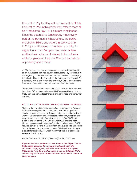Request to Pay (or Request for Payment or SEPA Request to Pay, in this paper I will refer to them all as "Request to Pay" RtP) is a rare thing indeed. It has the potential to touch pretty much every part of the payments infrastructure, the banks, merchants, billers and payers in every country in Europe and beyond. It has been a priority for regulation at both European and national level and has been a focus of interest to incumbents and new players in Financial Services as both an opportunity and a threat.

At CGI we have been fortunate enough to gain privileged insight, as an organisation that has bought a Request to Pay service live at the beginning of this year and that has been involved in developing the rules for Request to Pay, both in the Eurozone and beyond. As a company with a long history in payments, CGI has been close to Request to Pay and its potential customers from the outset.

This story has three acts, the history and context in which RtP was born, how RtP is being implemented in Europe and in the UK and finally how this comes together as exciting business and consumer services.

## ACT 1: PSD2 - THE LANDSCAPE AND SETTING THE SCENE

They say that invention never comes from a vacuum and Request to Pay is no exception. As an idea, the notion that if I granted a service provider access to my financial data they could provide me with useful information and services is nothing new, organisations were providing account information services before PSD2 was a glint in the eye of the EPC. But it is with PSD2 that the main blocker, easy access to payment/financial data is removed. PSD2 requires banks/PSPs to make payment data available to authorised 3rd parties with the customers consent. This is achieved through a set of standardised APIs which mean that data is exposed in a secure and uniform way.

Article 29/65 and 66 of PSD2 Directive (EU) 2015/2366 say:

*Payment initiation services/access to accounts. Organisations that access accounts to make payments on behalf of a customer or aggregate payments data are now in scope of PSD. Banks have to provide access to account data to TPPs without any arbitrary or artificial barrier where ever a customer gives consent.*

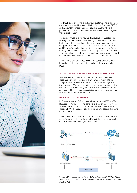

The PSD2 goes on to make it clear that customers have a right to use what are termed Payment Initiation Service Providers (PISPs) and Account Information Service Providers (AISPs) where the payment account is accessible online and where they have given their explicit consent.

The intention was to bring new and innovative organisations to add vigour to a historically slow moving market and also to make better use of the financial data that everyone agreed had such untapped potential. Indeed, in 2016 in the UK the Competition and Markets Authority (CMA) published a report on the UK's retail banking market which found that older, larger banks do not have to compete hard enough for customers' business, and smaller and newer banks find it difficult to grow and access the market.

The CMA went on to enforce this by mandating the top 9 retail banks in the UK make their data available in the way described in PSD2.

#### ACT 2: DIFFERENT MODELS FROM THE MAIN PLAYERS.

So that's the regulation, what does Request to Pay look like up close and personal? Request to Pay is what is referred to as a payment overlay service in that it sits on top of the payment infrastructure. We should note it is not a payment system itself but is more akin to a messaging service, the actual payment happens as a result of the RtP and uses existing payment mechanisms such as Faster Payments or SEPA Instant.

#### REQUEST TO PAY IN EUROPE

In Europe, a way for RtP to operate is set out in the EPC's SEPA Request-To-Pay (SRTP). This consists of a set of rules, practices and standards (owned by PRETA) that makes it possible for any eligible SEPA RTP Service Provider to join, participate and operate in the Scheme.

The model for Request to Pay in Europe is referred to as the "Four corner" model. In this model both Payee (biller) and Payer use their own RTP Service Provider (usually a bank).



Source: *SEPA Request-To-Pay (SRTP) Scheme Rulebook EPC014-20 / Draft Version 0.14 FOR PUBLIC CONSULTATION / Date issued: 2 June 2020/ Date effective: TBC*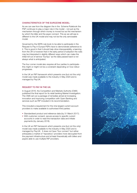#### CHARACTERISTICS OF THE EUROZONE MODEL:

As we can see from the diagram the in the Scheme Rulebook the PSP continues to play a major role in the model – not just as the mechanism through which money is moved but as the mechanism by which the biller and the payer connect. This as we will see is different to the UK model and may not be the only serviceable model.

Governed by the SEPA rule book to be able to participate in the Request to Pay in Europe PSPs have to demonstrate adherence to it. This is good in that it should help drive interoperability, a learning from the UK is however that in the early period of adoption the rules may be interpreted in slightly different ways which can make the initial roll out of service "bumpy" as the data passed back is not always what is anticipated.

The four corner model also requires all four parties to participate this might or might not be a constraint depending on how rollout progresses.

In the UK an RtP framework which presents one (but not the only) model was made available to the industry in May 2020 and is managed by Pay.UK.

### REQUEST TO PAY IN THE UK:

In August 2016, the Competition and Markets Authority (CMA) published the final report for its retail banking Market Investigation. The CMA set out a package of remedies aimed at increasing innovation and improving competition with Open Banking and services such as RtP included in its recommendation.

This included a requirement for the nine largest current account providers to make available to authorised third parties:

- Standardised product and reference data (by 31 March 2017);
- With customer consent, secure access to specific current accounts in order to read the transaction data and initiate payments (by January 2018).

In the UK an RtP framework which presents one (but not the only) model was made available to the industry in May 2020 and is managed by Pay.UK. It does not have "four corners" but rather anticipates a market of "repository" providers more decoupled from the payment infrastructure and at least theoretically with billers and payers able to use multiple RtP providers.

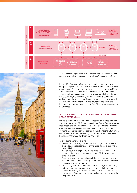

maass I BIT. **I NE Li** E. H Ħ

Source: Finextra (https://www.finextra.com/the-long-read/45/apples-andoranges-what-makes-payuk-and-eba-clearings-r2p-models-so-different )

In the UK a Request to Pay market occupied by a number of competitive players is now fully operational. CGI has partnered with one of these, Ordo (ordohq.com) which has been live since March 2020. Ordo has successfully processed thousands of requests for payment and has generated some considerable interest from our customers, we have Utility companies looking at cheaper and smarter billing, Local and Central government, law firms and accountants, private healthcare and education providers and Insurance companies to name but a few. The applications seem to be unlimited.

#### ACT 3: REQUEST TO PAY IS LIVE IN THE UK. THE FUTURE LOOKS EXCITING…..

We have seen how the legislation shapes the landscape and how the implementation of RtP has taken shape. But at CGI we are one step ahead and are into the final Act – the value for the customer. Over the past few months we have been discussing with our customers opportunities they see for RtP and what the future might hold, these have been fascinating conversations and there have been uses that we certainly did not envisage.

To give some concrete examples:

- Reconciliation is a big problem for many organisations on the biller side, and represents one of the larger financial benefits to them of RtP
- Invoice fraud is a large and growing problem (nearly £1B per annum in the UK) and the secure nature of RtP tackles this problem directly
- Creating a new dialogue between billers and their customers with new options such as part payment and extension requests are potentially transformative
- Putting payers more in control of their finances, with the ability to build over time evidence of good payment habits, is a real benefit particularly to the financially vulnerable and those in the gig economy (and how much more so in economies ravaged by the pandemic)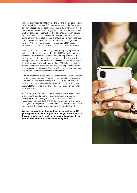Fully realising these benefits in both the UK and the Eurozone relies on enough billers using an RtP type service and, in the Eurozone, enough adoption by the banks where they play a more central role in the model. Indeed a recurring question we've faced from clients we have talked to concerns how they can ensure enough uptake from their customers. In the end, will the demand for this service come from sufficient payer demand, enough billers wanting to use it, or indeed externally to the users of the service by regulators driving it? This is a key question for prospective RtP service providers and cannot be answered by the scheme or framework.

New payment initiatives are always, and perhaps rightly, slow to gain the public trust. I have no doubt that RtP will be the same. However, the RtP services implemented in Europe and the UK are able to meet the needs of customers and billers in a way that perhaps cards or direct debits are not always able to do (although they will for sure continue to have a place). When Strong Customer Authentication is implemented, the utility of card payments on line may be compromised and a Request to Pay mechanism may seem like a more customer friendly secure alternative.

It will be interesting to see if the PSP centred model in the Eurozone is able to deliver the level of innovation envisaged in the regulation – or whether the different modes in the UK are able to deliver the level of customer trust required to drive adoption. One thing seems certain: RtP will not go away and will become the norm for certain payment types.

At CGI we have, over the last year, had fascinating conversations with customers and potential customers about how best to leverage RtP and how organisations as diverse as banks, insurance companies, local and central government and property management companies can reflect their client needs, reduce costs and improve their security and reconciliation by adopting RtP.

We look forward to continuing these conversations and if your organisation wants to gain more insight into Request to Pay and how to use it to add value to your business, please contact Phil Skinner on philip.skinner@cgi.com.